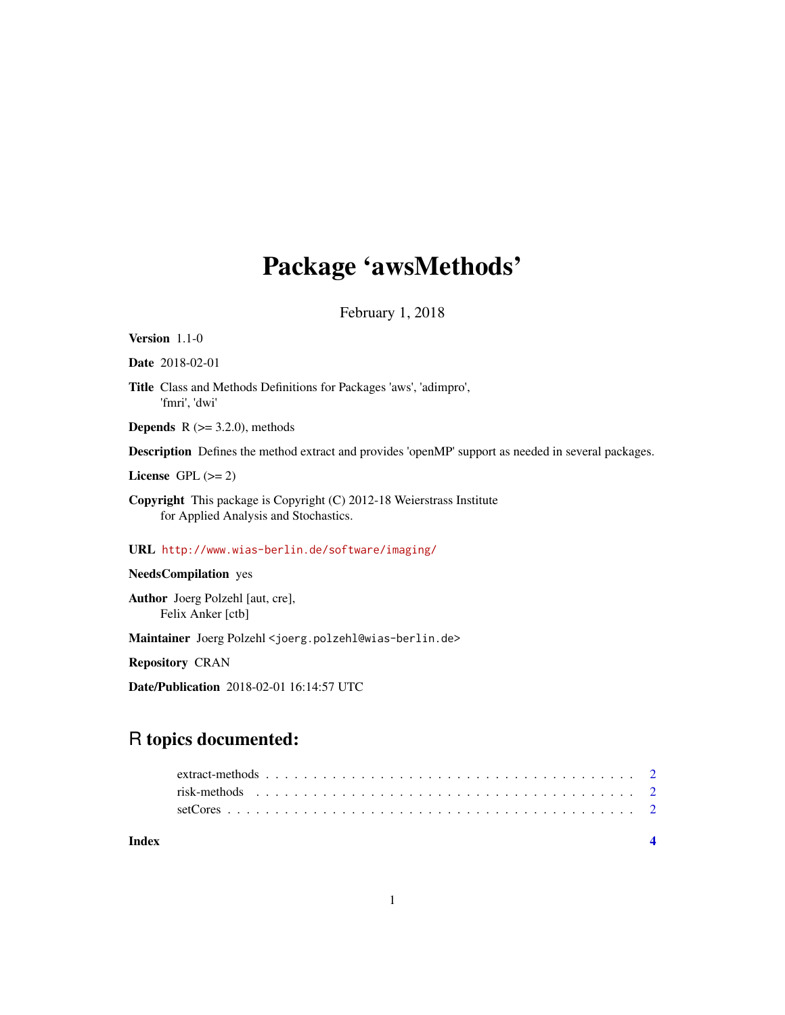## Package 'awsMethods'

February 1, 2018

## Version 1.1-0

Date 2018-02-01

Title Class and Methods Definitions for Packages 'aws', 'adimpro', 'fmri', 'dwi'

**Depends** R  $(>= 3.2.0)$ , methods

Description Defines the method extract and provides 'openMP' support as needed in several packages.

License GPL  $(>= 2)$ 

Copyright This package is Copyright (C) 2012-18 Weierstrass Institute for Applied Analysis and Stochastics.

URL <http://www.wias-berlin.de/software/imaging/>

NeedsCompilation yes

Author Joerg Polzehl [aut, cre], Felix Anker [ctb]

Maintainer Joerg Polzehl <joerg.polzehl@wias-berlin.de>

Repository CRAN

Date/Publication 2018-02-01 16:14:57 UTC

## R topics documented:

**Index** [4](#page-3-0)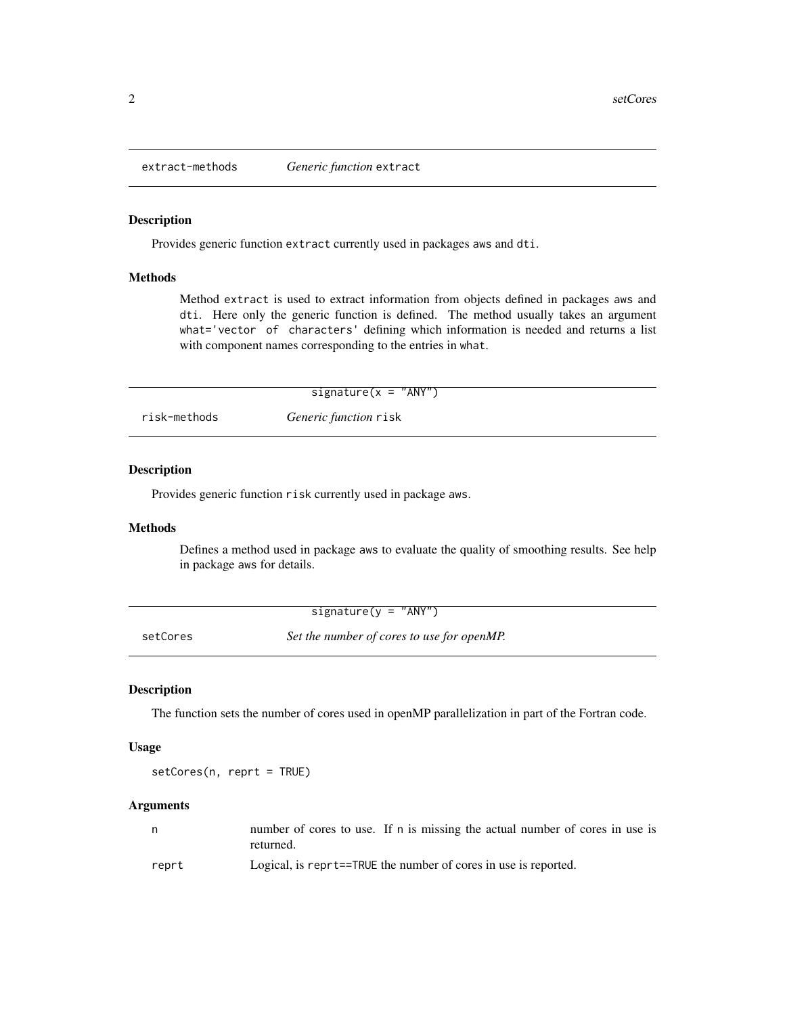<span id="page-1-0"></span>

## Description

Provides generic function extract currently used in packages aws and dti.

#### Methods

Method extract is used to extract information from objects defined in packages aws and dti. Here only the generic function is defined. The method usually takes an argument what='vector of characters' defining which information is needed and returns a list with component names corresponding to the entries in what.

|              | signature( $x = "ANY")$ |  |
|--------------|-------------------------|--|
| risk-methods | Generic function risk   |  |

## Description

Provides generic function risk currently used in package aws.

## Methods

Defines a method used in package aws to evaluate the quality of smoothing results. See help in package aws for details.

|          | signature( $y = "ANY")$                    |  |
|----------|--------------------------------------------|--|
| setCores | Set the number of cores to use for openMP. |  |

## Description

The function sets the number of cores used in openMP parallelization in part of the Fortran code.

### Usage

setCores(n, reprt = TRUE)

## Arguments

|       | number of cores to use. If n is missing the actual number of cores in use is |
|-------|------------------------------------------------------------------------------|
|       | returned.                                                                    |
| reprt | Logical, is reprt==TRUE the number of cores in use is reported.              |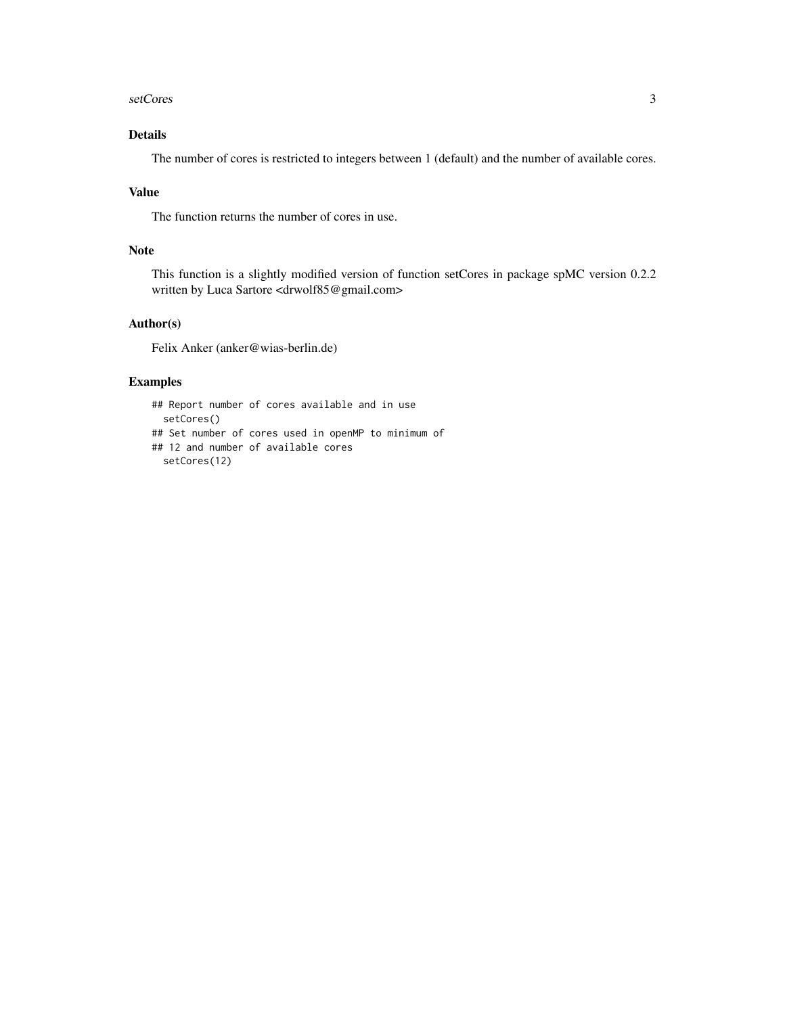#### setCores 3

## Details

The number of cores is restricted to integers between 1 (default) and the number of available cores.

## Value

The function returns the number of cores in use.

### Note

This function is a slightly modified version of function setCores in package spMC version 0.2.2 written by Luca Sartore <drwolf85@gmail.com>

## Author(s)

Felix Anker (anker@wias-berlin.de)

## Examples

```
## Report number of cores available and in use
  setCores()
## Set number of cores used in openMP to minimum of
## 12 and number of available cores
  setCores(12)
```